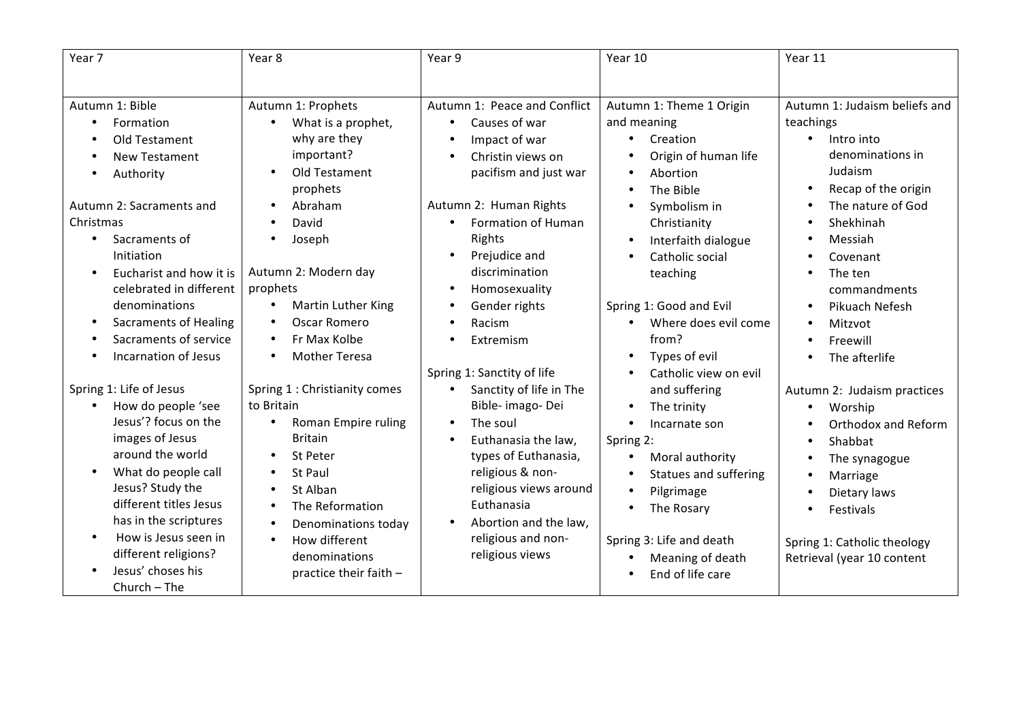| Year 7                                                                                                                                                                                                                                                                                          | Year 8                                                                                                                                                                                                                                                               | Year 9                                                                                                                                                                                                                                                                                                                  | Year 10                                                                                                                                                                                                                                                                                                       | Year 11                                                                                                                                                                                              |
|-------------------------------------------------------------------------------------------------------------------------------------------------------------------------------------------------------------------------------------------------------------------------------------------------|----------------------------------------------------------------------------------------------------------------------------------------------------------------------------------------------------------------------------------------------------------------------|-------------------------------------------------------------------------------------------------------------------------------------------------------------------------------------------------------------------------------------------------------------------------------------------------------------------------|---------------------------------------------------------------------------------------------------------------------------------------------------------------------------------------------------------------------------------------------------------------------------------------------------------------|------------------------------------------------------------------------------------------------------------------------------------------------------------------------------------------------------|
|                                                                                                                                                                                                                                                                                                 |                                                                                                                                                                                                                                                                      |                                                                                                                                                                                                                                                                                                                         |                                                                                                                                                                                                                                                                                                               |                                                                                                                                                                                                      |
| Autumn 1: Bible<br>Formation                                                                                                                                                                                                                                                                    | Autumn 1: Prophets<br>What is a prophet,                                                                                                                                                                                                                             | Autumn 1: Peace and Conflict<br>Causes of war<br>$\bullet$                                                                                                                                                                                                                                                              | Autumn 1: Theme 1 Origin<br>and meaning                                                                                                                                                                                                                                                                       | Autumn 1: Judaism beliefs and<br>teachings                                                                                                                                                           |
| Old Testament<br><b>New Testament</b><br>Authority                                                                                                                                                                                                                                              | why are they<br>important?<br>Old Testament<br>prophets                                                                                                                                                                                                              | Impact of war<br>$\bullet$<br>Christin views on<br>$\bullet$<br>pacifism and just war                                                                                                                                                                                                                                   | Creation<br>Origin of human life<br>Abortion<br>The Bible                                                                                                                                                                                                                                                     | Intro into<br>$\bullet$<br>denominations in<br>Judaism<br>Recap of the origin                                                                                                                        |
| Autumn 2: Sacraments and<br>Christmas<br>Sacraments of<br>Initiation<br>Eucharist and how it is<br>$\bullet$<br>celebrated in different<br>denominations<br><b>Sacraments of Healing</b><br>$\bullet$<br>Sacraments of service<br>Incarnation of Jesus                                          | Abraham<br>$\bullet$<br>David<br>$\bullet$<br>Joseph<br>Autumn 2: Modern day<br>prophets<br>Martin Luther King<br>$\bullet$<br><b>Oscar Romero</b><br>$\bullet$<br>Fr Max Kolbe<br>$\bullet$<br><b>Mother Teresa</b><br>$\bullet$                                    | Autumn 2: Human Rights<br>Formation of Human<br>$\bullet$<br>Rights<br>Prejudice and<br>$\bullet$<br>discrimination<br>Homosexuality<br>$\bullet$<br>Gender rights<br>$\bullet$<br>Racism<br>$\bullet$<br>Extremism<br>$\bullet$                                                                                        | Symbolism in<br>Christianity<br>Interfaith dialogue<br>$\bullet$<br>Catholic social<br>$\bullet$<br>teaching<br>Spring 1: Good and Evil<br>Where does evil come<br>$\bullet$<br>from?<br>Types of evil                                                                                                        | The nature of God<br>Shekhinah<br>Messiah<br>Covenant<br>The ten<br>commandments<br>Pikuach Nefesh<br>$\bullet$<br>Mitzvot<br>$\bullet$<br>Freewill<br>The afterlife                                 |
| Spring 1: Life of Jesus<br>How do people 'see<br>Jesus'? focus on the<br>images of Jesus<br>around the world<br>What do people call<br>Jesus? Study the<br>different titles Jesus<br>has in the scriptures<br>How is Jesus seen in<br>different religions?<br>Jesus' choses his<br>Church - The | Spring 1 : Christianity comes<br>to Britain<br>Roman Empire ruling<br>$\bullet$<br><b>Britain</b><br>St Peter<br>St Paul<br>St Alban<br>The Reformation<br>$\bullet$<br>Denominations today<br>$\bullet$<br>How different<br>denominations<br>practice their faith - | Spring 1: Sanctity of life<br>Sanctity of life in The<br>$\bullet$<br>Bible- imago- Dei<br>The soul<br>$\bullet$<br>Euthanasia the law,<br>$\bullet$<br>types of Euthanasia,<br>religious & non-<br>religious views around<br>Euthanasia<br>Abortion and the law,<br>$\bullet$<br>religious and non-<br>religious views | Catholic view on evil<br>and suffering<br>The trinity<br>$\bullet$<br>Incarnate son<br>$\bullet$<br>Spring 2:<br>Moral authority<br>$\bullet$<br>Statues and suffering<br>Pilgrimage<br>$\bullet$<br>The Rosary<br>Spring 3: Life and death<br>Meaning of death<br>$\bullet$<br>End of life care<br>$\bullet$ | Autumn 2: Judaism practices<br>Worship<br>Orthodox and Reform<br>Shabbat<br>The synagogue<br>Marriage<br>٠<br>Dietary laws<br>Festivals<br>Spring 1: Catholic theology<br>Retrieval (year 10 content |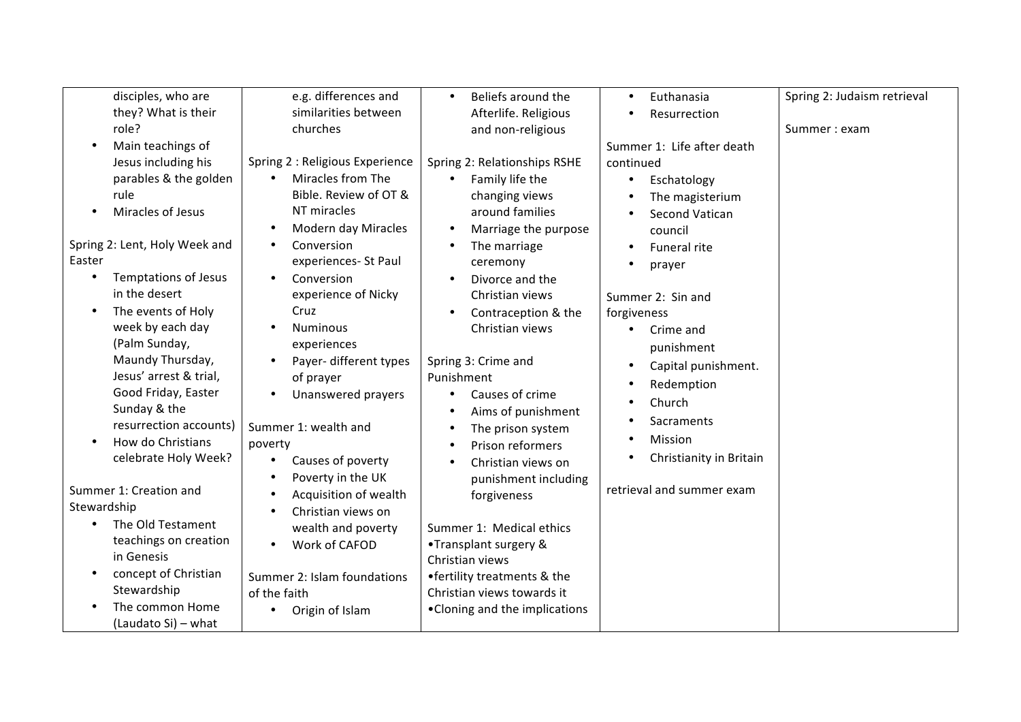| disciples, who are            | e.g. differences and            | Beliefs around the<br>$\bullet$   | Euthanasia<br>$\bullet$          | Spring 2: Judaism retrieval |
|-------------------------------|---------------------------------|-----------------------------------|----------------------------------|-----------------------------|
| they? What is their           | similarities between            | Afterlife. Religious              | Resurrection                     |                             |
| role?                         | churches                        | and non-religious                 |                                  | Summer: exam                |
| Main teachings of             |                                 |                                   | Summer 1: Life after death       |                             |
| Jesus including his           | Spring 2 : Religious Experience | Spring 2: Relationships RSHE      | continued                        |                             |
| parables & the golden         | Miracles from The<br>$\bullet$  | Family life the<br>$\bullet$      | Eschatology<br>$\bullet$         |                             |
| rule                          | Bible. Review of OT &           | changing views                    | The magisterium                  |                             |
| Miracles of Jesus             | NT miracles                     | around families                   | <b>Second Vatican</b>            |                             |
|                               | Modern day Miracles             | Marriage the purpose<br>$\bullet$ | council                          |                             |
| Spring 2: Lent, Holy Week and | Conversion                      | The marriage                      | Funeral rite                     |                             |
| Easter                        | experiences- St Paul            | ceremony                          |                                  |                             |
| <b>Temptations of Jesus</b>   | Conversion                      | Divorce and the<br>$\bullet$      | prayer                           |                             |
| in the desert                 | experience of Nicky             | Christian views                   |                                  |                             |
| The events of Holy            | Cruz                            | Contraception & the<br>$\bullet$  | Summer 2: Sin and                |                             |
| week by each day              | <b>Numinous</b>                 |                                   | forgiveness                      |                             |
| (Palm Sunday,                 |                                 | Christian views                   | Crime and<br>$\bullet$           |                             |
|                               | experiences                     |                                   | punishment                       |                             |
| Maundy Thursday,              | Payer- different types          | Spring 3: Crime and               | Capital punishment.<br>$\bullet$ |                             |
| Jesus' arrest & trial,        | of prayer                       | Punishment                        | Redemption                       |                             |
| Good Friday, Easter           | Unanswered prayers              | Causes of crime<br>$\bullet$      | Church                           |                             |
| Sunday & the                  |                                 | Aims of punishment<br>$\bullet$   |                                  |                             |
| resurrection accounts)        | Summer 1: wealth and            | The prison system<br>٠            | Sacraments                       |                             |
| How do Christians             | poverty                         | Prison reformers<br>$\bullet$     | Mission                          |                             |
| celebrate Holy Week?          | Causes of poverty               | Christian views on<br>$\bullet$   | Christianity in Britain          |                             |
|                               | Poverty in the UK               | punishment including              |                                  |                             |
| Summer 1: Creation and        | Acquisition of wealth           | forgiveness                       | retrieval and summer exam        |                             |
| Stewardship                   | Christian views on              |                                   |                                  |                             |
| The Old Testament             | wealth and poverty              | Summer 1: Medical ethics          |                                  |                             |
| teachings on creation         | Work of CAFOD<br>$\bullet$      | •Transplant surgery &             |                                  |                             |
| in Genesis                    |                                 | Christian views                   |                                  |                             |
| concept of Christian          | Summer 2: Islam foundations     | • fertility treatments & the      |                                  |                             |
| Stewardship                   | of the faith                    | Christian views towards it        |                                  |                             |
| The common Home               |                                 | • Cloning and the implications    |                                  |                             |
| (Laudato Si) - what           | Origin of Islam                 |                                   |                                  |                             |